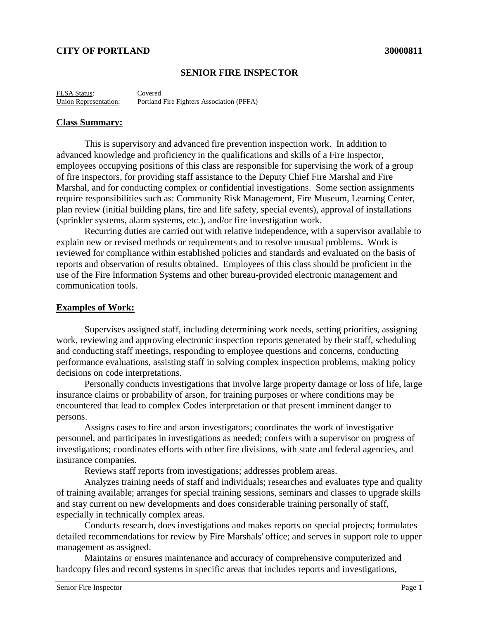# **CITY OF PORTLAND 30000811**

## **SENIOR FIRE INSPECTOR**

FLSA Status: Covered Union Representation: Portland Fire Fighters Association (PFFA)

#### **Class Summary:**

This is supervisory and advanced fire prevention inspection work. In addition to advanced knowledge and proficiency in the qualifications and skills of a Fire Inspector, employees occupying positions of this class are responsible for supervising the work of a group of fire inspectors, for providing staff assistance to the Deputy Chief Fire Marshal and Fire Marshal, and for conducting complex or confidential investigations. Some section assignments require responsibilities such as: Community Risk Management, Fire Museum, Learning Center, plan review (initial building plans, fire and life safety, special events), approval of installations (sprinkler systems, alarm systems, etc.), and/or fire investigation work.

Recurring duties are carried out with relative independence, with a supervisor available to explain new or revised methods or requirements and to resolve unusual problems. Work is reviewed for compliance within established policies and standards and evaluated on the basis of reports and observation of results obtained. Employees of this class should be proficient in the use of the Fire Information Systems and other bureau-provided electronic management and communication tools.

### **Examples of Work:**

Supervises assigned staff, including determining work needs, setting priorities, assigning work, reviewing and approving electronic inspection reports generated by their staff, scheduling and conducting staff meetings, responding to employee questions and concerns, conducting performance evaluations, assisting staff in solving complex inspection problems, making policy decisions on code interpretations.

Personally conducts investigations that involve large property damage or loss of life, large insurance claims or probability of arson, for training purposes or where conditions may be encountered that lead to complex Codes interpretation or that present imminent danger to persons.

Assigns cases to fire and arson investigators; coordinates the work of investigative personnel, and participates in investigations as needed; confers with a supervisor on progress of investigations; coordinates efforts with other fire divisions, with state and federal agencies, and insurance companies.

Reviews staff reports from investigations; addresses problem areas.

Analyzes training needs of staff and individuals; researches and evaluates type and quality of training available; arranges for special training sessions, seminars and classes to upgrade skills and stay current on new developments and does considerable training personally of staff, especially in technically complex areas.

Conducts research, does investigations and makes reports on special projects; formulates detailed recommendations for review by Fire Marshals' office; and serves in support role to upper management as assigned.

Maintains or ensures maintenance and accuracy of comprehensive computerized and hardcopy files and record systems in specific areas that includes reports and investigations,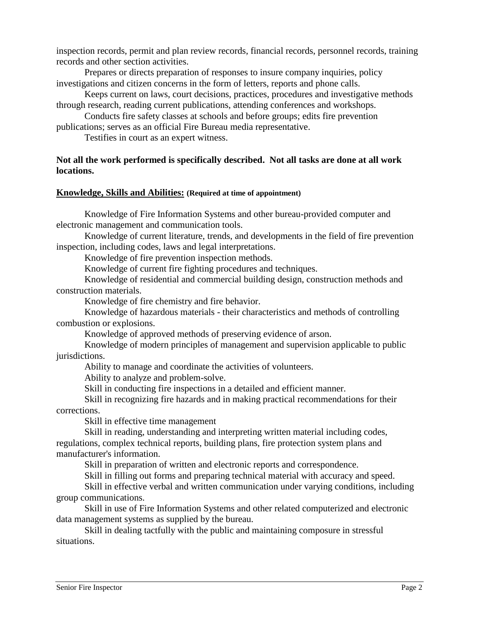inspection records, permit and plan review records, financial records, personnel records, training records and other section activities.

Prepares or directs preparation of responses to insure company inquiries, policy investigations and citizen concerns in the form of letters, reports and phone calls.

Keeps current on laws, court decisions, practices, procedures and investigative methods through research, reading current publications, attending conferences and workshops.

Conducts fire safety classes at schools and before groups; edits fire prevention publications; serves as an official Fire Bureau media representative.

Testifies in court as an expert witness.

# **Not all the work performed is specifically described. Not all tasks are done at all work locations.**

### **Knowledge, Skills and Abilities: (Required at time of appointment)**

Knowledge of Fire Information Systems and other bureau-provided computer and electronic management and communication tools.

Knowledge of current literature, trends, and developments in the field of fire prevention inspection, including codes, laws and legal interpretations.

Knowledge of fire prevention inspection methods.

Knowledge of current fire fighting procedures and techniques.

Knowledge of residential and commercial building design, construction methods and construction materials.

Knowledge of fire chemistry and fire behavior.

Knowledge of hazardous materials - their characteristics and methods of controlling combustion or explosions.

Knowledge of approved methods of preserving evidence of arson.

Knowledge of modern principles of management and supervision applicable to public jurisdictions.

Ability to manage and coordinate the activities of volunteers.

Ability to analyze and problem-solve.

Skill in conducting fire inspections in a detailed and efficient manner.

Skill in recognizing fire hazards and in making practical recommendations for their corrections.

Skill in effective time management

Skill in reading, understanding and interpreting written material including codes, regulations, complex technical reports, building plans, fire protection system plans and manufacturer's information.

Skill in preparation of written and electronic reports and correspondence.

Skill in filling out forms and preparing technical material with accuracy and speed.

Skill in effective verbal and written communication under varying conditions, including group communications.

Skill in use of Fire Information Systems and other related computerized and electronic data management systems as supplied by the bureau.

Skill in dealing tactfully with the public and maintaining composure in stressful situations.